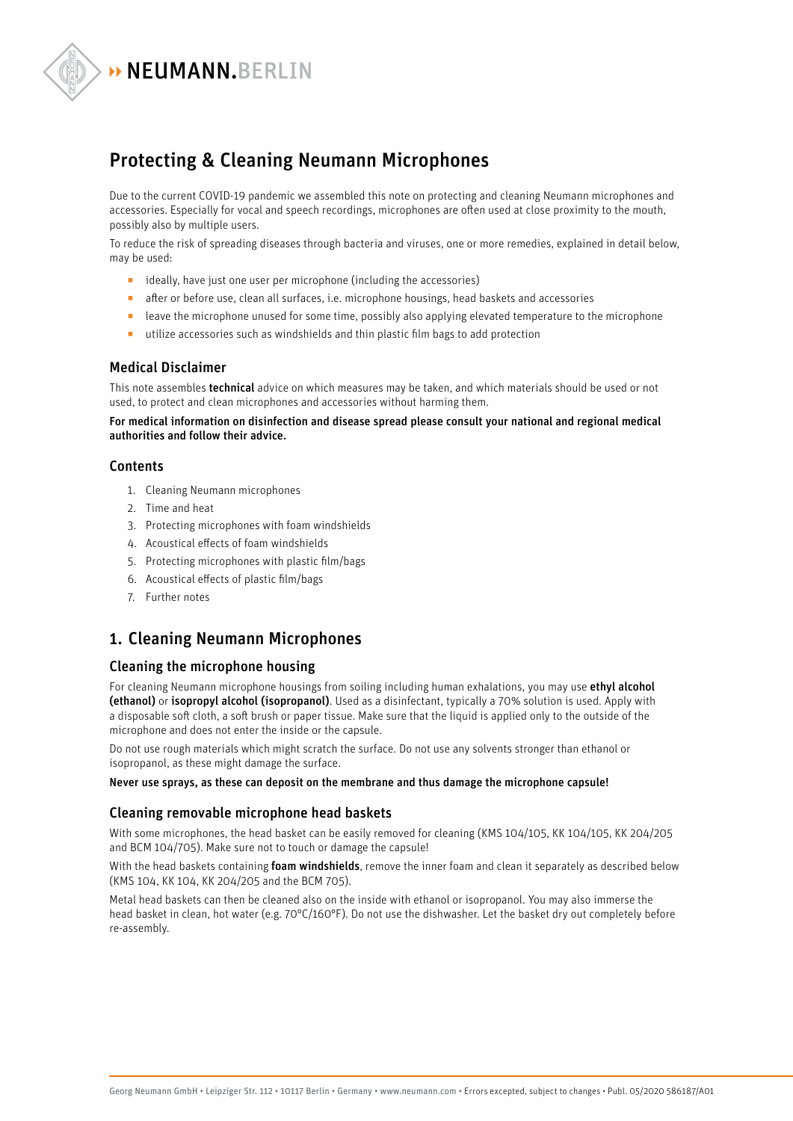

# Protecting & Cleaning Neumann Microphones

Due to the current COVID-19 pandemic we assembled this note on protecting and cleaning Neumann microphones and accessories. Especially for vocal and speech recordings, microphones are often used at close proximity to the mouth, possibly also by multiple users.

To reduce the risk of spreading diseases through bacteria and viruses, one or more remedies, explained in detail below, may be used:

- ideally, have just one user per microphone (including the accessories)
- after or before use, clean all surfaces, i.e. microphone housings, head baskets and accessories
- leave the microphone unused for some time, possibly also applying elevated temperature to the microphone
- utilize accessories such as windshields and thin plastic film bags to add protection

### Medical Disclaimer

This note assembles technical advice on which measures may be taken, and which materials should be used or not used, to protect and clean microphones and accessories without harming them.

For medical information on disinfection and disease spread please consult your national and regional medical authorities and follow their advice.

#### **Contents**

- 1. Cleaning Neumann microphones
- 2. Time and heat
- 3. Protecting microphones with foam windshields
- 4. Acoustical effects of foam windshields
- 5. Protecting microphones with plastic film/bags
- 6. Acoustical effects of plastic film/bags
- 7. Further notes

## 1. Cleaning Neumann Microphones

#### Cleaning the microphone housing

For cleaning Neumann microphone housings from soiling including human exhalations, you may use ethyl alcohol (ethanol) or isopropyl alcohol (isopropanol). Used as a disinfectant, typically a 70% solution is used. Apply with a disposable soft cloth, a soft brush or paper tissue. Make sure that the liquid is applied only to the outside of the microphone and does not enter the inside or the capsule.

Do not use rough materials which might scratch the surface. Do not use any solvents stronger than ethanol or isopropanol, as these might damage the surface.

#### Never use sprays, as these can deposit on the membrane and thus damage the microphone capsule!

### Cleaning removable microphone head baskets

With some microphones, the head basket can be easily removed for cleaning (KMS 104/105, KK 104/105, KK 204/205 and BCM 104/705). Make sure not to touch or damage the capsule!

With the head baskets containing foam windshields, remove the inner foam and clean it separately as described below (KMS 104, KK 104, KK 204/205 and the BCM 705).

Metal head baskets can then be cleaned also on the inside with ethanol or isopropanol. You may also immerse the head basket in clean, hot water (e.g. 70°C/160°F). Do not use the dishwasher. Let the basket dry out completely before re-assembly.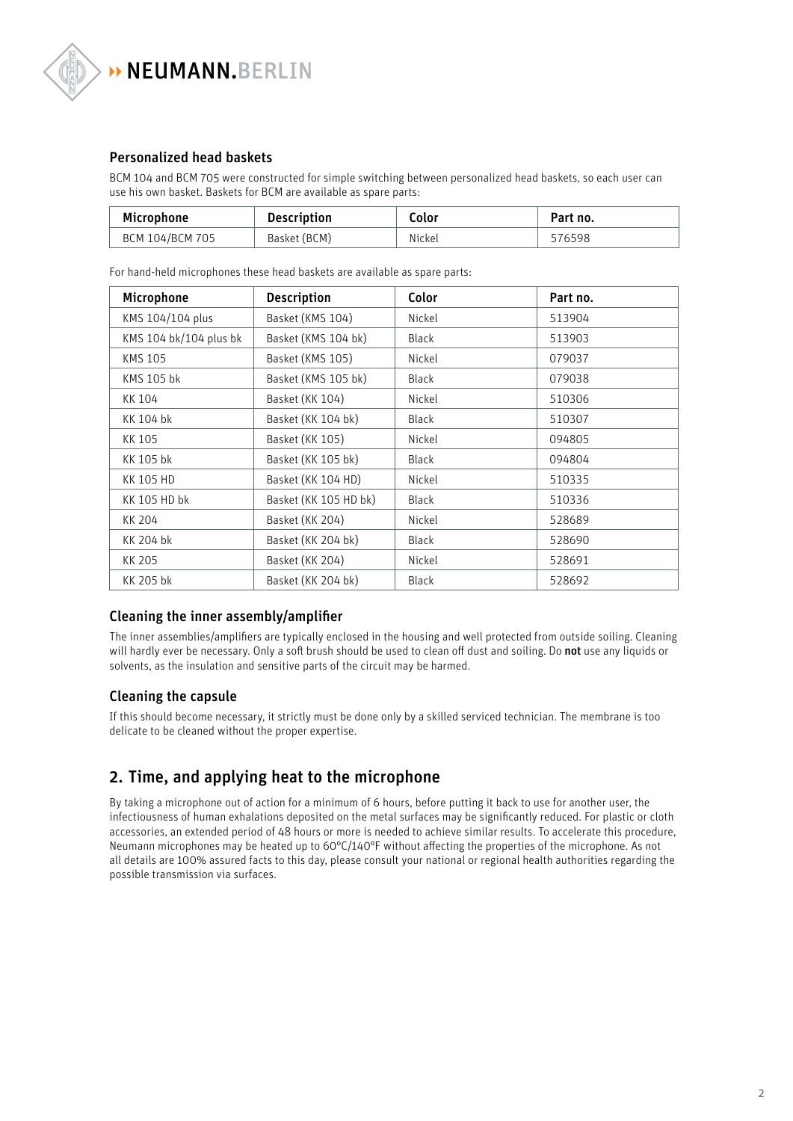

### Personalized head baskets

BCM 104 and BCM 705 were constructed for simple switching between personalized head baskets, so each user can use his own basket. Baskets for BCM are available as spare parts:

| Microphone      | <b>Description</b> | Color  | Part no. |
|-----------------|--------------------|--------|----------|
| BCM 104/BCM 705 | Basket (BCM)       | Nickel | 576598   |

| Microphone             | <b>Description</b>    | Color        | Part no. |
|------------------------|-----------------------|--------------|----------|
| KMS 104/104 plus       | Basket (KMS 104)      | Nickel       | 513904   |
| KMS 104 bk/104 plus bk | Basket (KMS 104 bk)   | <b>Black</b> | 513903   |
| <b>KMS 105</b>         | Basket (KMS 105)      | Nickel       | 079037   |
| KMS 105 bk             | Basket (KMS 105 bk)   | <b>Black</b> | 079038   |
| KK 104                 | Basket (KK 104)       | Nickel       | 510306   |
| KK 104 bk              | Basket (KK 104 bk)    | <b>Black</b> | 510307   |
| KK 105                 | Basket (KK 105)       | Nickel       | 094805   |
| KK 105 bk              | Basket (KK 105 bk)    | <b>Black</b> | 094804   |
| <b>KK 105 HD</b>       | Basket (KK 104 HD)    | Nickel       | 510335   |
| KK 105 HD bk           | Basket (KK 105 HD bk) | <b>Black</b> | 510336   |
| KK 204                 | Basket (KK 204)       | Nickel       | 528689   |
| <b>KK 204 bk</b>       | Basket (KK 204 bk)    | <b>Black</b> | 528690   |
| KK 205                 | Basket (KK 204)       | Nickel       | 528691   |
| KK 205 bk              | Basket (KK 204 bk)    | <b>Black</b> | 528692   |

For hand-held microphones these head baskets are available as spare parts:

### Cleaning the inner assembly/amplifier

The inner assemblies/amplifiers are typically enclosed in the housing and well protected from outside soiling. Cleaning will hardly ever be necessary. Only a soft brush should be used to clean off dust and soiling. Do not use any liquids or solvents, as the insulation and sensitive parts of the circuit may be harmed.

### Cleaning the capsule

If this should become necessary, it strictly must be done only by a skilled serviced technician. The membrane is too delicate to be cleaned without the proper expertise.

## 2. Time, and applying heat to the microphone

By taking a microphone out of action for a minimum of 6 hours, before putting it back to use for another user, the infectiousness of human exhalations deposited on the metal surfaces may be significantly reduced. For plastic or cloth accessories, an extended period of 48 hours or more is needed to achieve similar results. To accelerate this procedure, Neumann microphones may be heated up to 60°C/140°F without affecting the properties of the microphone. As not all details are 100% assured facts to this day, please consult your national or regional health authorities regarding the possible transmission via surfaces.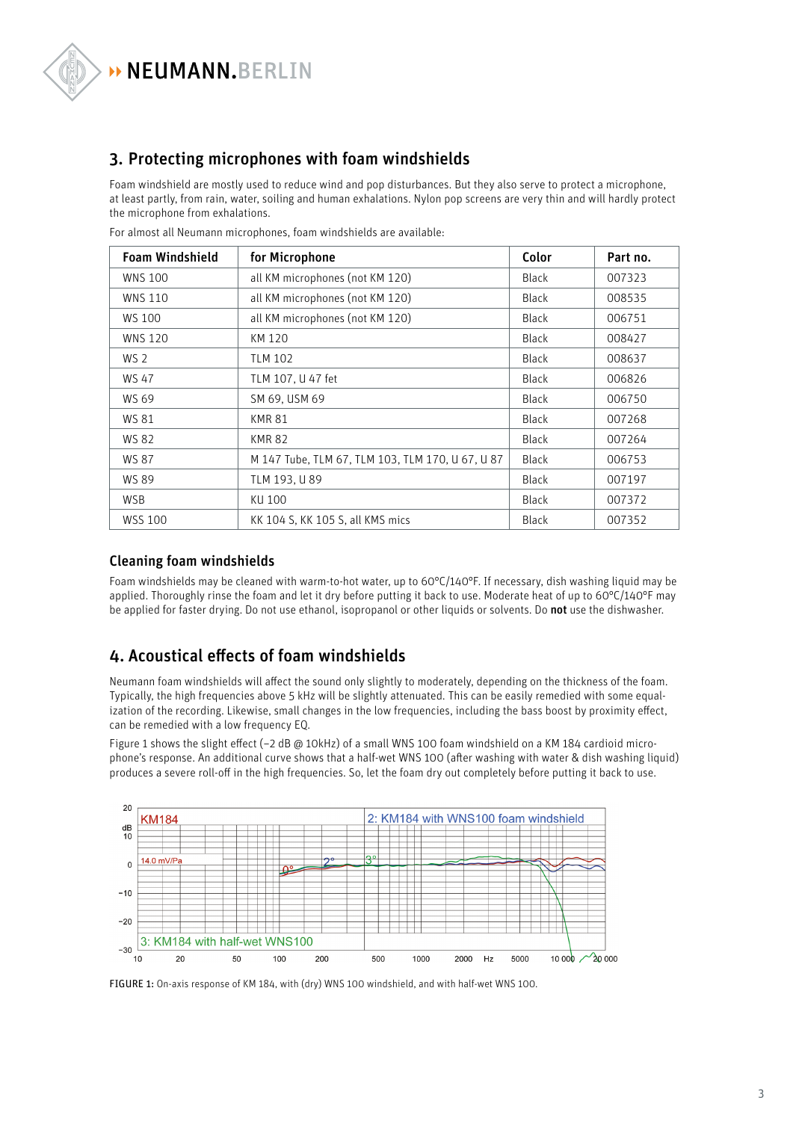# 3. Protecting microphones with foam windshields

Foam windshield are mostly used to reduce wind and pop disturbances. But they also serve to protect a microphone, at least partly, from rain, water, soiling and human exhalations. Nylon pop screens are very thin and will hardly protect the microphone from exhalations.

| <b>Foam Windshield</b> | for Microphone                                   | Color        | Part no. |
|------------------------|--------------------------------------------------|--------------|----------|
| <b>WNS 100</b>         | all KM microphones (not KM 120)                  | <b>Black</b> | 007323   |
| <b>WNS 110</b>         | all KM microphones (not KM 120)                  | <b>Black</b> | 008535   |
| WS 100                 | all KM microphones (not KM 120)                  | <b>Black</b> | 006751   |
| <b>WNS 120</b>         | KM 120                                           | <b>Black</b> | 008427   |
| WS 2                   | <b>TLM 102</b>                                   | Black        | 008637   |
| <b>WS 47</b>           | TLM 107, U 47 fet                                | <b>Black</b> | 006826   |
| WS 69                  | SM 69, USM 69                                    | <b>Black</b> | 006750   |
| <b>WS 81</b>           | <b>KMR 81</b>                                    | <b>Black</b> | 007268   |
| WS 82                  | <b>KMR 82</b>                                    | <b>Black</b> | 007264   |
| <b>WS 87</b>           | M 147 Tube, TLM 67, TLM 103, TLM 170, U 67, U 87 | <b>Black</b> | 006753   |
| <b>WS 89</b>           | TLM 193, U 89                                    | <b>Black</b> | 007197   |
| <b>WSB</b>             | KU 100                                           | <b>Black</b> | 007372   |
| <b>WSS 100</b>         | KK 104 S, KK 105 S, all KMS mics                 | <b>Black</b> | 007352   |

For almost all Neumann microphones, foam windshields are available:

### Cleaning foam windshields

Foam windshields may be cleaned with warm-to-hot water, up to 60°C/140°F. If necessary, dish washing liquid may be applied. Thoroughly rinse the foam and let it dry before putting it back to use. Moderate heat of up to 60°C/140°F may be applied for faster drying. Do not use ethanol, isopropanol or other liquids or solvents. Do not use the dishwasher.

### 4. Acoustical effects of foam windshields

Neumann foam windshields will affect the sound only slightly to moderately, depending on the thickness of the foam. Typically, the high frequencies above 5 kHz will be slightly attenuated. This can be easily remedied with some equalization of the recording. Likewise, small changes in the low frequencies, including the bass boost by proximity effect, can be remedied with a low frequency EQ.

Figure 1 shows the slight effect (-2 dB @ 10kHz) of a small WNS 100 foam windshield on a KM 184 cardioid microphone's response. An additional curve shows that a half-wet WNS 100 (after washing with water & dish washing liquid) produces a severe roll-off in the high frequencies. So, let the foam dry out completely before putting it back to use.



FIGURE 1: On-axis response of KM 184, with (dry) WNS 100 windshield, and with half-wet WNS 100.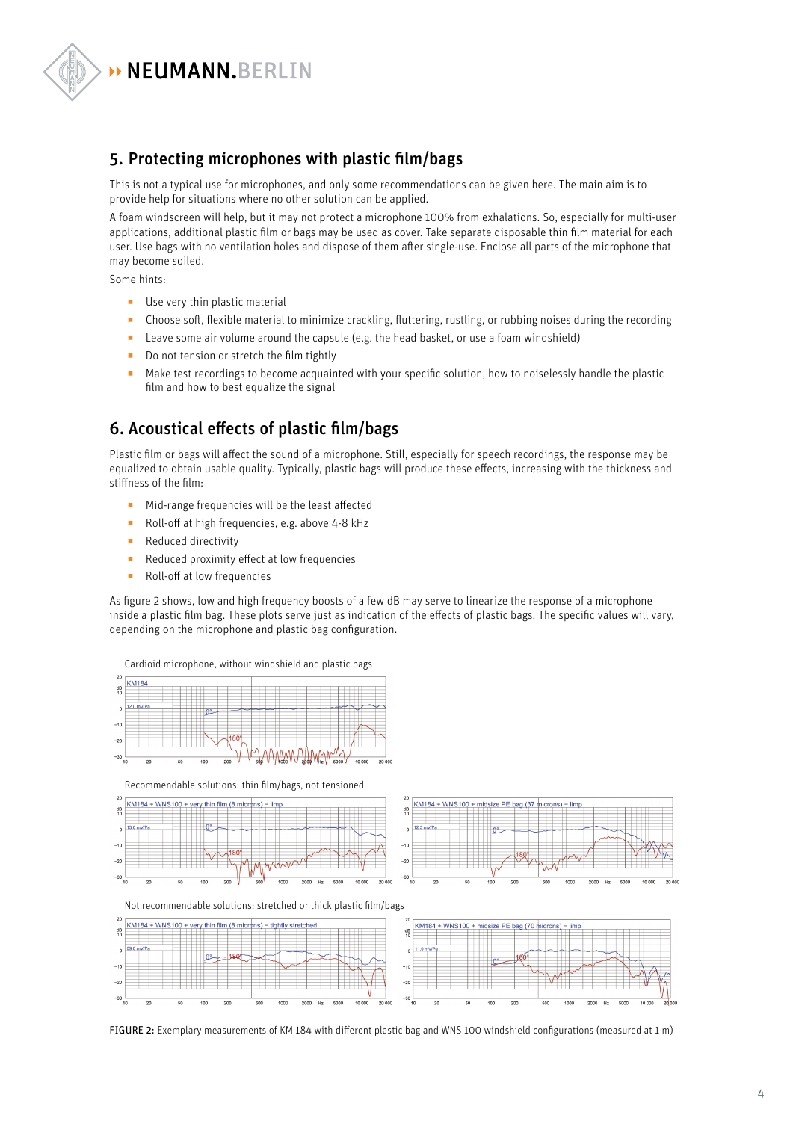

## 5. Protecting microphones with plastic film/bags

This is not a typical use for microphones, and only some recommendations can be given here. The main aim is to provide help for situations where no other solution can be applied.

A foam windscreen will help, but it may not protect a microphone 100% from exhalations. So, especially for multi-user applications, additional plastic film or bags may be used as cover. Take separate disposable thin film material for each user. Use bags with no ventilation holes and dispose of them after single-use. Enclose all parts of the microphone that may become soiled.

Some hints:

- Use very thin plastic material
- Choose soft, flexible material to minimize crackling, fluttering, rustling, or rubbing noises during the recording
- Leave some air volume around the capsule (e.g. the head basket, or use a foam windshield)
- Do not tension or stretch the film tightly
- Make test recordings to become acquainted with your specific solution, how to noiselessly handle the plastic film and how to best equalize the signal

### 6. Acoustical effects of plastic film/bags

Plastic film or bags will affect the sound of a microphone. Still, especially for speech recordings, the response may be equalized to obtain usable quality. Typically, plastic bags will produce these effects, increasing with the thickness and stiffness of the film:

- Mid-range frequencies will be the least affected
- ◻ Roll-off at high frequencies, e.g. above 4-8 kHz
- ◻ Reduced directivity
- Reduced proximity effect at low frequencies
- Roll-off at low frequencies

As figure 2 shows, low and high frequency boosts of a few dB may serve to linearize the response of a microphone inside a plastic film bag. These plots serve just as indication of the effects of plastic bags. The specific values will vary, depending on the microphone and plastic bag configuration.

Cardioid microphone, without windshield and plastic bags KM18  $\begin{array}{c} \n\text{dB} \\ \n10 \n\end{array}$  $12.0$ **IRO**  $-21$  $-30$ Recommendable solutions: thin film/bags, not tensioned KM184 + WNS100 + very thin film (8 microns) KM184 + WNS100 + midsize PE bag (37 microns)  $\frac{dE}{dt}$  $\underset{1}{\text{dB}}$  $13.81$  $12.5$ 180  $-21$ Not recommendable solutions: stretched or thick plastic film/bags KM184 + WNS100 + very thin film (8 microns) tightly stretched KM184 + WNS100 + midsize PE bag (70 m  $\frac{dE}{dt}$  $rac{dE}{10}$  $-4i$ 10,000

FIGURE 2: Exemplary measurements of KM 184 with different plastic bag and WNS 100 windshield configurations (measured at 1 m)